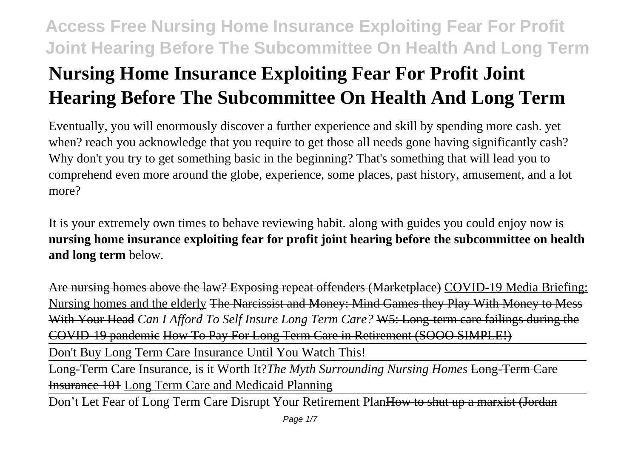# **Nursing Home Insurance Exploiting Fear For Profit Joint Hearing Before The Subcommittee On Health And Long Term**

Eventually, you will enormously discover a further experience and skill by spending more cash. yet when? reach you acknowledge that you require to get those all needs gone having significantly cash? Why don't you try to get something basic in the beginning? That's something that will lead you to comprehend even more around the globe, experience, some places, past history, amusement, and a lot more?

It is your extremely own times to behave reviewing habit. along with guides you could enjoy now is **nursing home insurance exploiting fear for profit joint hearing before the subcommittee on health and long term** below.

Are nursing homes above the law? Exposing repeat offenders (Marketplace) COVID-19 Media Briefing: Nursing homes and the elderly The Narcissist and Money: Mind Games they Play With Money to Mess With Your Head *Can I Afford To Self Insure Long Term Care?* W5: Long-term care failings during the COVID-19 pandemic How To Pay For Long Term Care in Retirement (SOOO SIMPLE!)

Don't Buy Long Term Care Insurance Until You Watch This!

Long-Term Care Insurance, is it Worth It?*The Myth Surrounding Nursing Homes* Long-Term Care Insurance 101 Long Term Care and Medicaid Planning

Don't Let Fear of Long Term Care Disrupt Your Retirement PlanHow to shut up a marxist (Jordan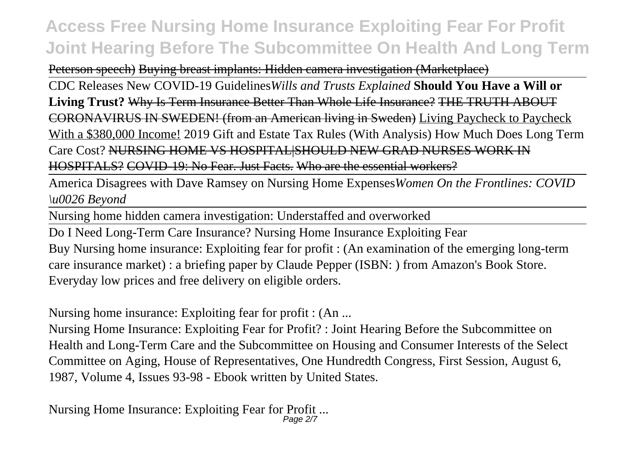Peterson speech) Buying breast implants: Hidden camera investigation (Marketplace)

CDC Releases New COVID-19 Guidelines*Wills and Trusts Explained* **Should You Have a Will or Living Trust?** Why Is Term Insurance Better Than Whole Life Insurance? THE TRUTH ABOUT CORONAVIRUS IN SWEDEN! (from an American living in Sweden) Living Paycheck to Paycheck With a \$380,000 Income! 2019 Gift and Estate Tax Rules (With Analysis) How Much Does Long Term Care Cost? NURSING HOME VS HOSPITAL|SHOULD NEW GRAD NURSES WORK IN HOSPITALS? COVID-19: No Fear. Just Facts. Who are the essential workers?

America Disagrees with Dave Ramsey on Nursing Home Expenses*Women On the Frontlines: COVID \u0026 Beyond*

Nursing home hidden camera investigation: Understaffed and overworked

Do I Need Long-Term Care Insurance? Nursing Home Insurance Exploiting Fear Buy Nursing home insurance: Exploiting fear for profit : (An examination of the emerging long-term care insurance market) : a briefing paper by Claude Pepper (ISBN: ) from Amazon's Book Store. Everyday low prices and free delivery on eligible orders.

Nursing home insurance: Exploiting fear for profit : (An ...

Nursing Home Insurance: Exploiting Fear for Profit? : Joint Hearing Before the Subcommittee on Health and Long-Term Care and the Subcommittee on Housing and Consumer Interests of the Select Committee on Aging, House of Representatives, One Hundredth Congress, First Session, August 6, 1987, Volume 4, Issues 93-98 - Ebook written by United States.

Nursing Home Insurance: Exploiting Fear for Profit ... Page 2/7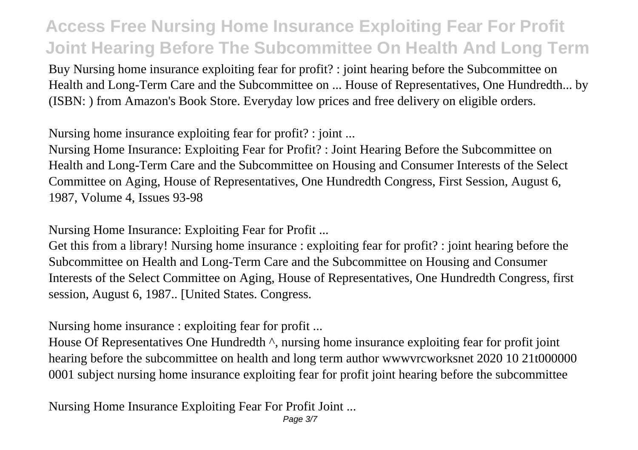Buy Nursing home insurance exploiting fear for profit? : joint hearing before the Subcommittee on Health and Long-Term Care and the Subcommittee on ... House of Representatives, One Hundredth... by (ISBN: ) from Amazon's Book Store. Everyday low prices and free delivery on eligible orders.

Nursing home insurance exploiting fear for profit? : joint ...

Nursing Home Insurance: Exploiting Fear for Profit? : Joint Hearing Before the Subcommittee on Health and Long-Term Care and the Subcommittee on Housing and Consumer Interests of the Select Committee on Aging, House of Representatives, One Hundredth Congress, First Session, August 6, 1987, Volume 4, Issues 93-98

Nursing Home Insurance: Exploiting Fear for Profit ...

Get this from a library! Nursing home insurance : exploiting fear for profit? : joint hearing before the Subcommittee on Health and Long-Term Care and the Subcommittee on Housing and Consumer Interests of the Select Committee on Aging, House of Representatives, One Hundredth Congress, first session, August 6, 1987.. [United States. Congress.

Nursing home insurance : exploiting fear for profit ...

House Of Representatives One Hundredth  $\wedge$ , nursing home insurance exploiting fear for profit joint hearing before the subcommittee on health and long term author wwwvrcworksnet 2020 10 21t000000 0001 subject nursing home insurance exploiting fear for profit joint hearing before the subcommittee

Nursing Home Insurance Exploiting Fear For Profit Joint ...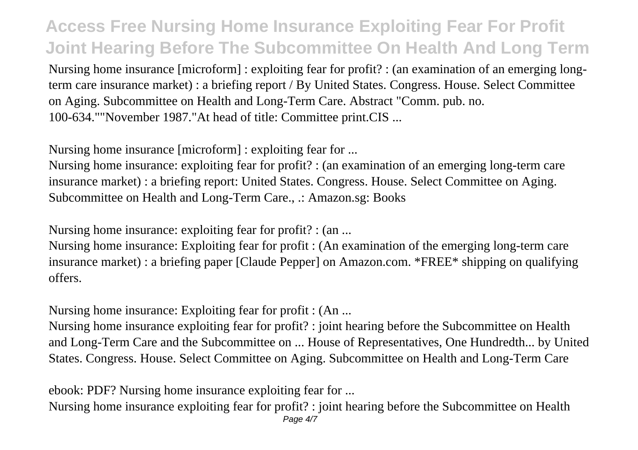Nursing home insurance [microform] : exploiting fear for profit? : (an examination of an emerging longterm care insurance market) : a briefing report / By United States. Congress. House. Select Committee on Aging. Subcommittee on Health and Long-Term Care. Abstract "Comm. pub. no. 100-634.""November 1987."At head of title: Committee print.CIS ...

Nursing home insurance [microform] : exploiting fear for ...

Nursing home insurance: exploiting fear for profit? : (an examination of an emerging long-term care insurance market) : a briefing report: United States. Congress. House. Select Committee on Aging. Subcommittee on Health and Long-Term Care., .: Amazon.sg: Books

Nursing home insurance: exploiting fear for profit? : (an ...

Nursing home insurance: Exploiting fear for profit : (An examination of the emerging long-term care insurance market) : a briefing paper [Claude Pepper] on Amazon.com. \*FREE\* shipping on qualifying offers.

Nursing home insurance: Exploiting fear for profit : (An ...

Nursing home insurance exploiting fear for profit? : joint hearing before the Subcommittee on Health and Long-Term Care and the Subcommittee on ... House of Representatives, One Hundredth... by United States. Congress. House. Select Committee on Aging. Subcommittee on Health and Long-Term Care

ebook: PDF? Nursing home insurance exploiting fear for ...

Nursing home insurance exploiting fear for profit? : joint hearing before the Subcommittee on Health Page  $4/7$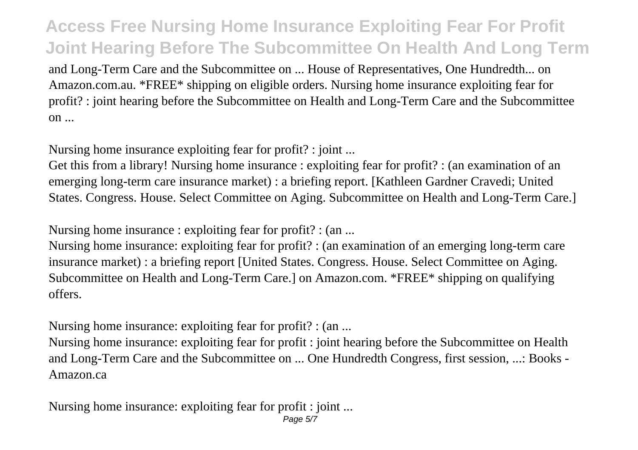and Long-Term Care and the Subcommittee on ... House of Representatives, One Hundredth... on Amazon.com.au. \*FREE\* shipping on eligible orders. Nursing home insurance exploiting fear for profit? : joint hearing before the Subcommittee on Health and Long-Term Care and the Subcommittee on ...

Nursing home insurance exploiting fear for profit? : joint ...

Get this from a library! Nursing home insurance : exploiting fear for profit? : (an examination of an emerging long-term care insurance market) : a briefing report. [Kathleen Gardner Cravedi; United States. Congress. House. Select Committee on Aging. Subcommittee on Health and Long-Term Care.]

Nursing home insurance : exploiting fear for profit? : (an ...

Nursing home insurance: exploiting fear for profit? : (an examination of an emerging long-term care insurance market) : a briefing report [United States. Congress. House. Select Committee on Aging. Subcommittee on Health and Long-Term Care.] on Amazon.com. \*FREE\* shipping on qualifying offers.

Nursing home insurance: exploiting fear for profit? : (an ...

Nursing home insurance: exploiting fear for profit : joint hearing before the Subcommittee on Health and Long-Term Care and the Subcommittee on ... One Hundredth Congress, first session, ...: Books - Amazon.ca

Nursing home insurance: exploiting fear for profit : joint ...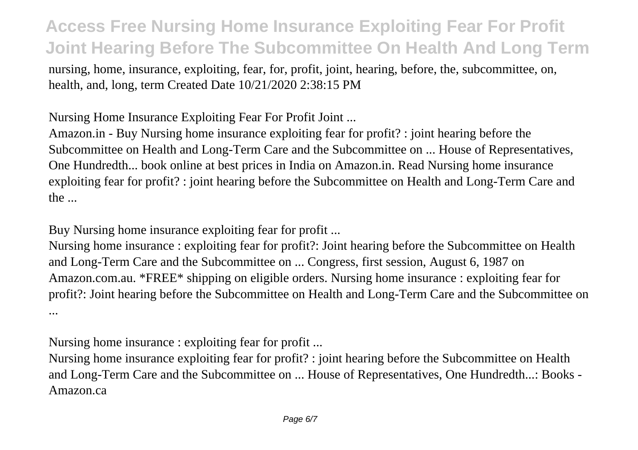nursing, home, insurance, exploiting, fear, for, profit, joint, hearing, before, the, subcommittee, on, health, and, long, term Created Date 10/21/2020 2:38:15 PM

Nursing Home Insurance Exploiting Fear For Profit Joint ...

Amazon.in - Buy Nursing home insurance exploiting fear for profit? : joint hearing before the Subcommittee on Health and Long-Term Care and the Subcommittee on ... House of Representatives, One Hundredth... book online at best prices in India on Amazon.in. Read Nursing home insurance exploiting fear for profit? : joint hearing before the Subcommittee on Health and Long-Term Care and the ...

Buy Nursing home insurance exploiting fear for profit ...

Nursing home insurance : exploiting fear for profit?: Joint hearing before the Subcommittee on Health and Long-Term Care and the Subcommittee on ... Congress, first session, August 6, 1987 on Amazon.com.au. \*FREE\* shipping on eligible orders. Nursing home insurance : exploiting fear for profit?: Joint hearing before the Subcommittee on Health and Long-Term Care and the Subcommittee on ...

Nursing home insurance : exploiting fear for profit ...

Nursing home insurance exploiting fear for profit? : joint hearing before the Subcommittee on Health and Long-Term Care and the Subcommittee on ... House of Representatives, One Hundredth...: Books - Amazon.ca